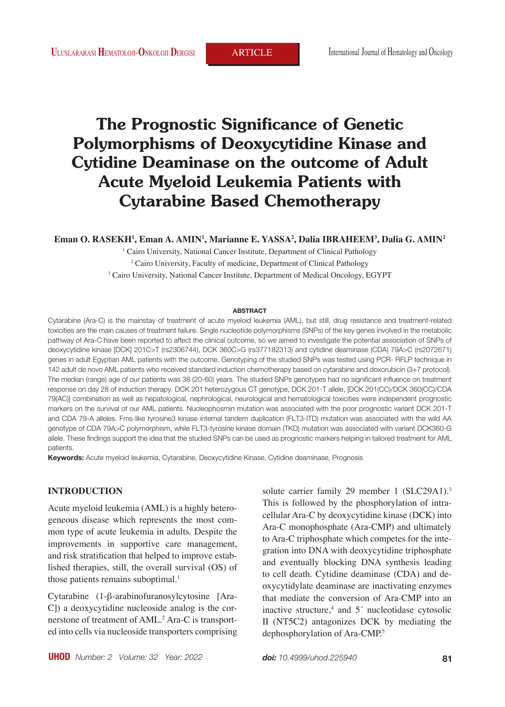# **The Prognostic Significance of Genetic Polymorphisms of Deoxycytidine Kinase and Cytidine Deaminase on the outcome of Adult Acute Myeloid Leukemia Patients with Cytarabine Based Chemotherapy**

**Eman O. RASEKH1 , Eman A. AMIN1 , Marianne E. YASSA2 , Dalia IBRAHEEM3 , Dalia G. AMIN2**

<sup>1</sup> Cairo University, National Cancer Institute, Department of Clinical Pathology <sup>2</sup> Cairo University, Faculty of medicine, Department of Clinical Pathology 3 Cairo University, National Cancer Institute, Department of Medical Oncology, EGYPT

#### **ABSTRACT**

Cytarabine (Ara-C) is the mainstay of treatment of acute myeloid leukemia (AML), but still, drug resistance and treatment-related toxicities are the main causes of treatment failure. Single nucleotide polymorphisms (SNPs) of the key genes involved in the metabolic pathway of Ara-C have been reported to affect the clinical outcome, so we aimed to investigate the potential association of SNPs of deoxycytidine kinase [DCK] 201C>T (rs2306744), DCK 360C>G (rs377182313) and cytidine deaminase (CDA) 79A>C (rs2072671) genes in adult Egyptian AML patients with the outcome. Genotyping of the studied SNPs was tested using PCR- RFLP technique in 142 adult de novo AML patients who received standard induction chemotherapy based on cytarabine and doxorubicin (3+7 protocol). The median (range) age of our patients was 38 (20-60) years. The studied SNPs genotypes had no significant influence on treatment response on day 28 of induction therapy. DCK 201 heterozygous CT genotype, DCK 201-T allele, [DCK 201(CC)/DCK 360(CC)/CDA 79(AC)] combination as well as hepatological, nephrological, neurological and hematological toxicities were independent prognostic markers on the survival of our AML patients. Nucleophosmin mutation was associated with the poor prognostic variant DCK 201-T and CDA 79-A alleles. Fms-like tyrosine3 kinase internal tandem duplication (FLT3-ITD) mutation was associated with the wild AA genotype of CDA 79A>C polymorphism, while FLT3-tyrosine kinase domain (TKD) mutation was associated with variant DCK360-G allele. These findings support the idea that the studied SNPs can be used as prognostic markers helping in tailored treatment for AML patients.

**Keywords:** Acute myeloid leukemia, Cytarabine, Deoxycytidine Kinase, Cytidine deaminase, Prognosis

# **INTRODUCTION**

Acute myeloid leukemia (AML) is a highly heterogeneous disease which represents the most common type of acute leukemia in adults. Despite the improvements in supportive care management, and risk stratification that helped to improve established therapies, still, the overall survival (OS) of those patients remains suboptimal.<sup>1</sup>

Cytarabine (1-β-arabinofuranosylcytosine [Ara-C]) a deoxycytidine nucleoside analog is the cornerstone of treatment of AML.<sup>2</sup> Ara-C is transported into cells via nucleoside transporters comprising solute carrier family 29 member 1 (SLC29A1).<sup>3</sup> This is followed by the phosphorylation of intracellular Ara-C by deoxycytidine kinase (DCK) into Ara-C monophosphate (Ara-CMP) and ultimately to Ara-C triphosphate which competes for the integration into DNA with deoxycytidine triphosphate and eventually blocking DNA synthesis leading to cell death. Cytidine deaminase (CDA) and deoxycytidylate deaminase are inactivating enzymes that mediate the conversion of Ara-CMP into an inactive structure,<sup>4</sup> and  $5<sup>′</sup>$  nucleotidase cytosolic II (NT5C2) antagonizes DCK by mediating the dephosphorylation of Ara-CMP.5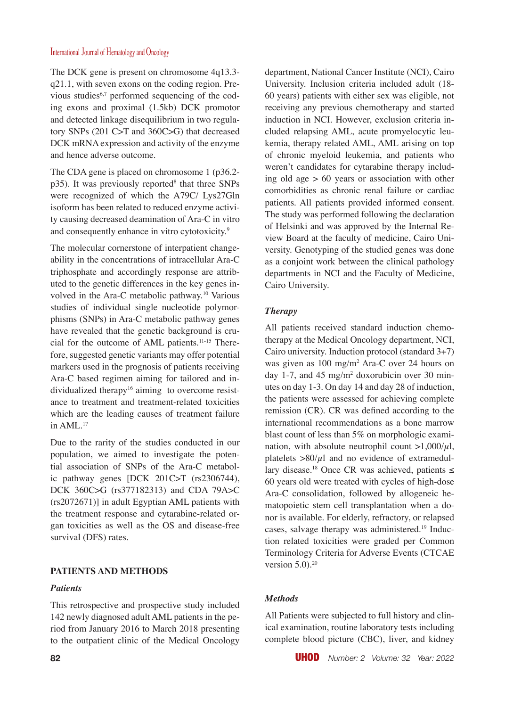The DCK gene is present on chromosome 4q13.3 q21.1, with seven exons on the coding region. Previous studies<sup>6,7</sup> performed sequencing of the coding exons and proximal (1.5kb) DCK promotor and detected linkage disequilibrium in two regulatory SNPs (201 C>T and 360C>G) that decreased DCK mRNA expression and activity of the enzyme and hence adverse outcome.

The CDA gene is placed on chromosome 1 (p36.2p35). It was previously reported<sup>8</sup> that three SNPs were recognized of which the A79C/ Lys27Gln isoform has been related to reduced enzyme activity causing decreased deamination of Ara-C in vitro and consequently enhance in vitro cytotoxicity.<sup>9</sup>

The molecular cornerstone of interpatient changeability in the concentrations of intracellular Ara-C triphosphate and accordingly response are attributed to the genetic differences in the key genes involved in the Ara-C metabolic pathway.10 Various studies of individual single nucleotide polymorphisms (SNPs) in Ara-C metabolic pathway genes have revealed that the genetic background is crucial for the outcome of AML patients.11-15 Therefore, suggested genetic variants may offer potential markers used in the prognosis of patients receiving Ara-C based regimen aiming for tailored and individualized therapy<sup>16</sup> aiming to overcome resistance to treatment and treatment-related toxicities which are the leading causes of treatment failure in AML.17

Due to the rarity of the studies conducted in our population, we aimed to investigate the potential association of SNPs of the Ara-C metabolic pathway genes [DCK 201C>T (rs2306744), DCK 360C>G (rs377182313) and CDA 79A>C (rs2072671)] in adult Egyptian AML patients with the treatment response and cytarabine-related organ toxicities as well as the OS and disease-free survival (DFS) rates.

# **PATIENTS AND METHODS**

#### *Patients*

This retrospective and prospective study included 142 newly diagnosed adult AML patients in the period from January 2016 to March 2018 presenting to the outpatient clinic of the Medical Oncology

department, National Cancer Institute (NCI), Cairo University. Inclusion criteria included adult (18- 60 years) patients with either sex was eligible, not receiving any previous chemotherapy and started induction in NCI. However, exclusion criteria included relapsing AML, acute promyelocytic leukemia, therapy related AML, AML arising on top of chronic myeloid leukemia, and patients who weren't candidates for cytarabine therapy including old age  $> 60$  years or association with other comorbidities as chronic renal failure or cardiac patients. All patients provided informed consent. The study was performed following the declaration of Helsinki and was approved by the Internal Review Board at the faculty of medicine, Cairo University. Genotyping of the studied genes was done as a conjoint work between the clinical pathology departments in NCI and the Faculty of Medicine, Cairo University.

## *Therapy*

All patients received standard induction chemotherapy at the Medical Oncology department, NCI, Cairo university. Induction protocol (standard 3+7) was given as 100 mg/m2 Ara-C over 24 hours on day 1-7, and 45 mg/m2 doxorubicin over 30 minutes on day 1-3. On day 14 and day 28 of induction, the patients were assessed for achieving complete remission (CR). CR was defined according to the international recommendations as a bone marrow blast count of less than 5% on morphologic examination, with absolute neutrophil count  $>1,000/\mu$ l, platelets  $>80/\mu$ l and no evidence of extramedullary disease.<sup>18</sup> Once CR was achieved, patients ≤ 60 years old were treated with cycles of high-dose Ara-C consolidation, followed by allogeneic hematopoietic stem cell transplantation when a donor is available. For elderly, refractory, or relapsed cases, salvage therapy was administered.19 Induction related toxicities were graded per Common Terminology Criteria for Adverse Events (CTCAE version  $5.0$ ).<sup>20</sup>

#### *Methods*

All Patients were subjected to full history and clinical examination, routine laboratory tests including complete blood picture (CBC), liver, and kidney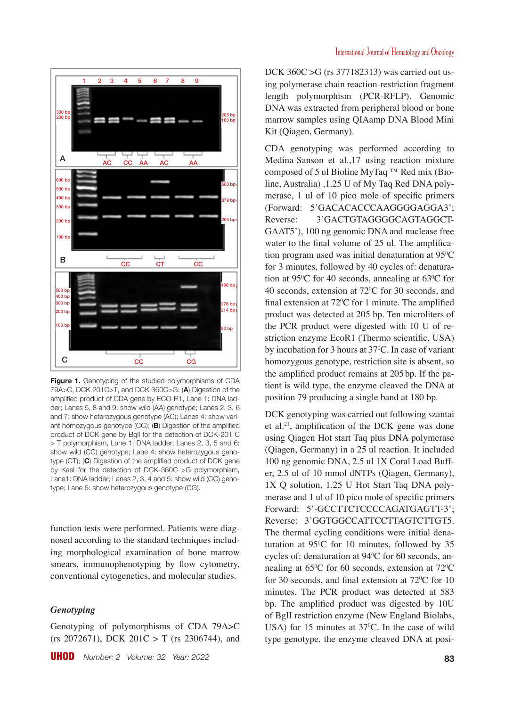

**Figure 1.** Genotyping of the studied polymorphisms of CDA 79A>C, DCK 201C>T, and DCK 360C>G: (**A**) Digestion of the amplified product of CDA gene by ECO-R1, Lane 1: DNA ladder; Lanes 5, 8 and 9: show wild (AA) genotype; Lanes 2, 3, 6 and 7: show heterozygous genotype (AC); Lanes 4: show variant homozygous genotype (CC); (**B**) Digestion of the amplified product of DCK gene by BglI for the detection of DCK-201 C > T polymorphism, Lane 1: DNA ladder; Lanes 2, 3, 5 and 6: show wild (CC) genotype; Lane 4: show heterozygous genotype (CT); (**C**) Digestion of the amplified product of DCK gene by KasI for the detection of DCK-360C >G polymorphism, Lane1: DNA ladder; Lanes 2, 3, 4 and 5: show wild (CC) genotype; Lane 6: show heterozygous genotype (CG).

function tests were performed. Patients were diagnosed according to the standard techniques including morphological examination of bone marrow smears, immunophenotyping by flow cytometry, conventional cytogenetics, and molecular studies.

#### *Genotyping*

Genotyping of polymorphisms of CDA 79A>C  $(rs 2072671)$ , DCK  $201C > T$  (rs 2306744), and DCK 360C >G (rs 377182313) was carried out using polymerase chain reaction-restriction fragment length polymorphism (PCR-RFLP). Genomic DNA was extracted from peripheral blood or bone marrow samples using QIAamp DNA Blood Mini Kit (Qiagen, Germany).

CDA genotyping was performed according to Medina-Sanson et al.,17 using reaction mixture composed of 5 ul Bioline MyTaq ™ Red mix (Bioline, Australia) ,1.25 U of My Taq Red DNA polymerase, 1 ul of 10 pico mole of specific primers (Forward: 5'GACACACCCAAGGGGAGGA3'; Reverse: 3'GACTGTAGGGGCAGTAGGCT-GAAT5'), 100 ng genomic DNA and nuclease free water to the final volume of 25 ul. The amplification program used was initial denaturation at  $95^{\circ}$ C for 3 minutes, followed by 40 cycles of: denaturation at 95<sup>o</sup>C for 40 seconds, annealing at 63<sup>o</sup>C for 40 seconds, extension at  $72^{\circ}$ C for 30 seconds, and final extension at  $72^{\circ}$ C for 1 minute. The amplified product was detected at 205 bp. Ten microliters of the PCR product were digested with 10 U of restriction enzyme EcoR1 (Thermo scientific, USA) by incubation for 3 hours at  $37^{\circ}$ C. In case of variant homozygous genotype, restriction site is absent, so the amplified product remains at 205bp. If the patient is wild type, the enzyme cleaved the DNA at position 79 producing a single band at 180 bp.

DCK genotyping was carried out following szantai et al.21, amplification of the DCK gene was done using Qiagen Hot start Taq plus DNA polymerase (Qiagen, Germany) in a 25 ul reaction. It included 100 ng genomic DNA, 2.5 ul 1X Coral Load Buffer, 2.5 ul of 10 mmol dNTPs (Qiagen, Germany), 1X Q solution, 1.25 U Hot Start Taq DNA polymerase and 1 ul of 10 pico mole of specific primers Forward: 5'-GCCTTCTCCCCAGATGAGTT-3'; Reverse: 3'GGTGGCCATTCCTTAGTCTTGT5. The thermal cycling conditions were initial denaturation at 950 C for 10 minutes, followed by 35 cycles of: denaturation at 940 C for 60 seconds, annealing at  $65^{\circ}$ C for 60 seconds, extension at  $72^{\circ}$ C for 30 seconds, and final extension at  $72^{\circ}$ C for 10 minutes. The PCR product was detected at 583 bp. The amplified product was digested by 10U of BglI restriction enzyme (New England Biolabs, USA) for 15 minutes at  $37^{\circ}$ C. In the case of wild type genotype, the enzyme cleaved DNA at posi-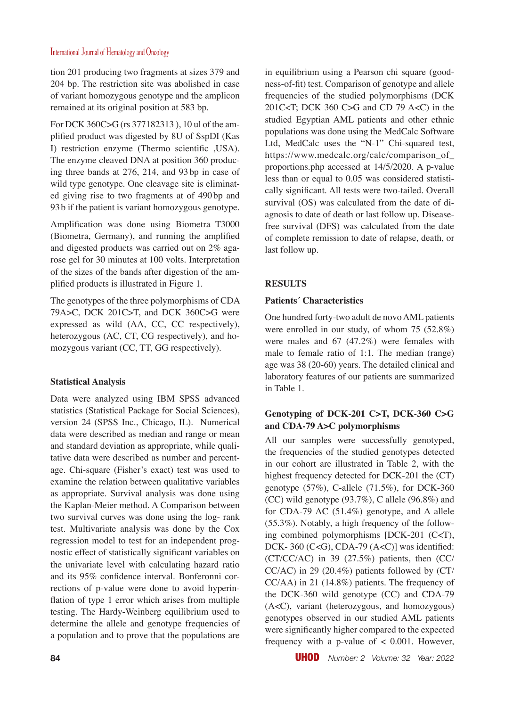tion 201 producing two fragments at sizes 379 and 204 bp. The restriction site was abolished in case of variant homozygous genotype and the amplicon remained at its original position at 583 bp.

For DCK 360C>G (rs 377182313 ), 10 ul of the amplified product was digested by 8U of SspDI (Kas I) restriction enzyme (Thermo scientific ,USA). The enzyme cleaved DNA at position 360 producing three bands at 276, 214, and 93bp in case of wild type genotype. One cleavage site is eliminated giving rise to two fragments at of 490bp and 93b if the patient is variant homozygous genotype.

Amplification was done using Biometra T3000 (Biometra, Germany), and running the amplified and digested products was carried out on 2% agarose gel for 30 minutes at 100 volts. Interpretation of the sizes of the bands after digestion of the amplified products is illustrated in Figure 1.

The genotypes of the three polymorphisms of CDA 79A>C, DCK 201C>T, and DCK 360C>G were expressed as wild (AA, CC, CC respectively), heterozygous (AC, CT, CG respectively), and homozygous variant (CC, TT, GG respectively).

# **Statistical Analysis**

Data were analyzed using IBM SPSS advanced statistics (Statistical Package for Social Sciences), version 24 (SPSS Inc., Chicago, IL). Numerical data were described as median and range or mean and standard deviation as appropriate, while qualitative data were described as number and percentage. Chi-square (Fisher's exact) test was used to examine the relation between qualitative variables as appropriate. Survival analysis was done using the Kaplan-Meier method. A Comparison between two survival curves was done using the log- rank test. Multivariate analysis was done by the Cox regression model to test for an independent prognostic effect of statistically significant variables on the univariate level with calculating hazard ratio and its 95% confidence interval. Bonferonni corrections of p-value were done to avoid hyperinflation of type 1 error which arises from multiple testing. The Hardy-Weinberg equilibrium used to determine the allele and genotype frequencies of a population and to prove that the populations are in equilibrium using a Pearson chi square (goodness-of-fit) test. Comparison of genotype and allele frequencies of the studied polymorphisms (DCK 201C $\lt$ T; DCK 360 C $\gt$ G and CD 79 A $\lt$ C) in the studied Egyptian AML patients and other ethnic populations was done using the MedCalc Software Ltd, MedCalc uses the "N-1" Chi-squared test, https://www.medcalc.org/calc/comparison\_of\_ proportions.php accessed at 14/5/2020. A p-value less than or equal to 0.05 was considered statistically significant. All tests were two-tailed. Overall survival (OS) was calculated from the date of diagnosis to date of death or last follow up. Diseasefree survival (DFS) was calculated from the date of complete remission to date of relapse, death, or last follow up.

# **RESULTS**

## **Patients´ Characteristics**

One hundred forty-two adult de novo AML patients were enrolled in our study, of whom 75 (52.8%) were males and 67 (47.2%) were females with male to female ratio of 1:1. The median (range) age was 38 (20-60) years. The detailed clinical and laboratory features of our patients are summarized in Table 1.

# **Genotyping of DCK-201 C>T, DCK-360 C>G and CDA-79 A>C polymorphisms**

All our samples were successfully genotyped, the frequencies of the studied genotypes detected in our cohort are illustrated in Table 2, with the highest frequency detected for DCK-201 the (CT) genotype (57%), C-allele (71.5%), for DCK-360 (CC) wild genotype (93.7%), C allele (96.8%) and for CDA-79 AC (51.4%) genotype, and A allele (55.3%). Notably, a high frequency of the following combined polymorphisms [DCK-201 (C<T), DCK- 360 (C<G), CDA-79 (A<C)] was identified: (CT/CC/AC) in 39 (27.5%) patients, then (CC/ CC/AC) in 29 (20.4%) patients followed by (CT/ CC/AA) in 21 (14.8%) patients. The frequency of the DCK-360 wild genotype (CC) and CDA-79 (A<C), variant (heterozygous, and homozygous) genotypes observed in our studied AML patients were significantly higher compared to the expected frequency with a p-value of < 0.001. However,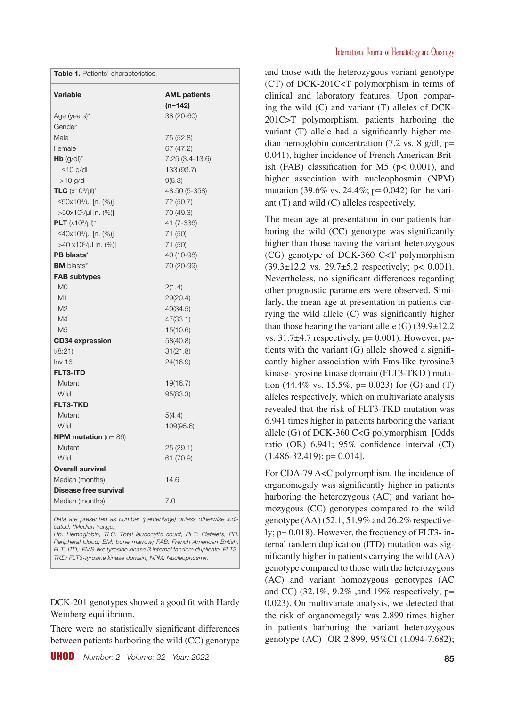| Variable                         | <b>AML patients</b><br>(n=142) |
|----------------------------------|--------------------------------|
| Age (years)*                     | 38 (20-60)                     |
| Gender                           |                                |
| Male                             | 75 (52.8)                      |
| Female                           | 67 (47.2)                      |
| $Hb$ (g/dl) <sup>*</sup>         | 7.25 (3.4-13.6)                |
| $\leq 10$ g/dl                   | 133 (93.7)                     |
| $>10$ g/dl                       | 9(6.3)                         |
| <b>TLC</b> $(x10^3/\mu)^*$       | 48.50 (5-358)                  |
| ≤50x10 <sup>3</sup> /ul [n. (%)] | 72 (50.7)                      |
| $>50x103/\mu$ [n. (%)]           | 70 (49.3)                      |
| PLT $(x10^3/\mu$ <sup>*</sup>    | 41 (7-336)                     |
| $≤40x103/µ$   [n. (%)]           | 71 (50)                        |
| $>40 \times 10^{3}/\mu$ [n. (%)] | 71 (50)                        |
| PB blasts*                       | 40 (10-98)                     |
| <b>BM</b> blasts*                | 70 (20-99)                     |
| <b>FAB subtypes</b>              |                                |
| M <sub>O</sub>                   | 2(1.4)                         |
| M1                               | 29(20.4)                       |
| M <sub>2</sub>                   | 49(34.5)                       |
| M4                               | 47(33.1)                       |
| M <sub>5</sub>                   | 15(10.6)                       |
| <b>CD34 expression</b>           | 58(40.8)                       |
| t(8;21)                          | 31(21.8)                       |
| Inv16                            | 24(16.9)                       |
| <b>FLT3-ITD</b>                  |                                |
| Mutant                           | 19(16.7)                       |
| Wild                             | 95(83.3)                       |
| <b>FLT3-TKD</b>                  |                                |
| Mutant                           | 5(4.4)                         |
| Wild                             | 109(95.6)                      |
| <b>NPM mutation</b> ( $n = 86$ ) |                                |
| Mutant                           | 25(29.1)                       |
| Wild                             | 61 (70.9)                      |
| <b>Overall survival</b>          |                                |
| Median (months)                  | 14.6                           |
| Disease free survival            |                                |
| Median (months)                  | 7.0                            |

*Data are presented as number (percentage) unless otherwise indicated; \*Median (range).*

Hb: Hemoglobin, TLC: Total leucocytic count, PLT: Platelets, PB. *Peripheral blood; BM: bone marrow; FAB: French American British, FLT- ITD,: FMS-like tyrosine kinase 3 internal tandem duplicate, FLT3- TKD: FLT3-tyrosine kinase domain, NPM: Nucleophosmin*

DCK-201 genotypes showed a good fit with Hardy Weinberg equilibrium.

There were no statistically significant differences between patients harboring the wild (CC) genotype and those with the heterozygous variant genotype (CT) of DCK-201C<T polymorphism in terms of clinical and laboratory features. Upon comparing the wild (C) and variant (T) alleles of DCK-201C>T polymorphism, patients harboring the variant (T) allele had a significantly higher median hemoglobin concentration (7.2 vs. 8  $g/dl$ , p= 0.041), higher incidence of French American British (FAB) classification for M5 ( $p < 0.001$ ), and higher association with nucleophosmin (NPM) mutation (39.6% vs. 24.4%;  $p=0.042$ ) for the variant (T) and wild (C) alleles respectively.

The mean age at presentation in our patients harboring the wild (CC) genotype was significantly higher than those having the variant heterozygous (CG) genotype of DCK-360 C<T polymorphism  $(39.3 \pm 12.2 \text{ vs. } 29.7 \pm 5.2 \text{ respectively}; \text{ p} < 0.001).$ Nevertheless, no significant differences regarding other prognostic parameters were observed. Similarly, the mean age at presentation in patients carrying the wild allele (C) was significantly higher than those bearing the variant allele  $(G)$  (39.9 $\pm$ 12.2) vs.  $31.7\pm4.7$  respectively,  $p=0.001$ ). However, patients with the variant (G) allele showed a significantly higher association with Fms-like tyrosine3 kinase-tyrosine kinase domain (FLT3-TKD ) mutation (44.4% vs. 15.5%,  $p = 0.023$ ) for (G) and (T) alleles respectively, which on multivariate analysis revealed that the risk of FLT3-TKD mutation was 6.941 times higher in patients harboring the variant allele (G) of DCK-360 C<G polymorphism [Odds ratio (OR) 6.941; 95% confidence interval (CI)  $(1.486 - 32.419)$ ; p= 0.014].

For CDA-79 A<C polymorphism, the incidence of organomegaly was significantly higher in patients harboring the heterozygous (AC) and variant homozygous (CC) genotypes compared to the wild genotype (AA) (52.1, 51.9% and 26.2% respectively;  $p=0.018$ ). However, the frequency of FLT3- internal tandem duplication (ITD) mutation was significantly higher in patients carrying the wild (AA) genotype compared to those with the heterozygous (AC) and variant homozygous genotypes (AC and CC) (32.1%, 9.2% ,and 19% respectively; p= 0.023). On multivariate analysis, we detected that the risk of organomegaly was 2.899 times higher in patients harboring the variant heterozygous genotype (AC) [OR 2.899, 95%CI (1.094-7.682);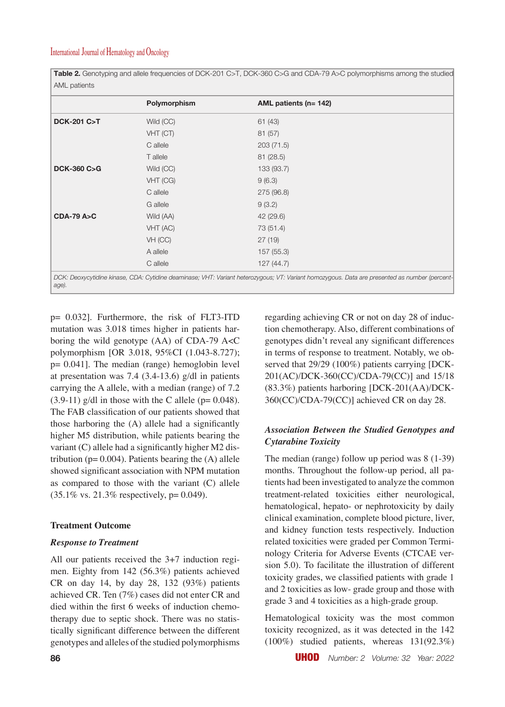**Table 2.** Genotyping and allele frequencies of DCK-201 C>T, DCK-360 C>G and CDA-79 A>C polymorphisms among the studied AML patients

|                       | Polymorphism | AML patients (n= 142) |
|-----------------------|--------------|-----------------------|
| <b>DCK-201 C&gt;T</b> | Wild (CC)    | 61(43)                |
|                       | VHT (CT)     | 81(57)                |
|                       | C allele     | 203 (71.5)            |
|                       | T allele     | 81(28.5)              |
| <b>DCK-360 C&gt;G</b> | Wild (CC)    | 133 (93.7)            |
|                       | VHT (CG)     | 9(6.3)                |
|                       | C allele     | 275 (96.8)            |
|                       | G allele     | 9(3.2)                |
| <b>CDA-79 A&gt;C</b>  | Wild (AA)    | 42 (29.6)             |
|                       | VHT (AC)     | 73 (51.4)             |
|                       | VH (CC)      | 27(19)                |
|                       | A allele     | 157 (55.3)            |
|                       | C allele     | 127(44.7)             |

*age).*

p= 0.032]. Furthermore, the risk of FLT3-ITD mutation was 3.018 times higher in patients harboring the wild genotype (AA) of CDA-79 A<C polymorphism [OR 3.018, 95%CI (1.043-8.727); p= 0.041]. The median (range) hemoglobin level at presentation was 7.4 (3.4-13.6) g/dl in patients carrying the A allele, with a median (range) of 7.2  $(3.9-11)$  g/dl in those with the C allele ( $p= 0.048$ ). The FAB classification of our patients showed that those harboring the (A) allele had a significantly higher M5 distribution, while patients bearing the variant (C) allele had a significantly higher M2 distribution ( $p= 0.004$ ). Patients bearing the  $(A)$  allele showed significant association with NPM mutation as compared to those with the variant (C) allele (35.1% vs. 21.3% respectively, p= 0.049).

#### **Treatment Outcome**

### *Response to Treatment*

All our patients received the 3+7 induction regimen. Eighty from 142 (56.3%) patients achieved CR on day 14, by day 28, 132 (93%) patients achieved CR. Ten (7%) cases did not enter CR and died within the first 6 weeks of induction chemotherapy due to septic shock. There was no statistically significant difference between the different genotypes and alleles of the studied polymorphisms regarding achieving CR or not on day 28 of induction chemotherapy. Also, different combinations of genotypes didn't reveal any significant differences in terms of response to treatment. Notably, we observed that 29/29 (100%) patients carrying [DCK-201(AC)/DCK-360(CC)/CDA-79(CC)] and 15/18 (83.3%) patients harboring [DCK-201(AA)/DCK-360(CC)/CDA-79(CC)] achieved CR on day 28.

## *Association Between the Studied Genotypes and Cytarabine Toxicity*

The median (range) follow up period was 8 (1-39) months. Throughout the follow-up period, all patients had been investigated to analyze the common treatment-related toxicities either neurological, hematological, hepato- or nephrotoxicity by daily clinical examination, complete blood picture, liver, and kidney function tests respectively. Induction related toxicities were graded per Common Terminology Criteria for Adverse Events (CTCAE version 5.0). To facilitate the illustration of different toxicity grades, we classified patients with grade 1 and 2 toxicities as low- grade group and those with grade 3 and 4 toxicities as a high-grade group.

Hematological toxicity was the most common toxicity recognized, as it was detected in the 142 (100%) studied patients, whereas 131(92.3%)

**86** UHOD *Number: 2 Volume: 32 Year: 2022*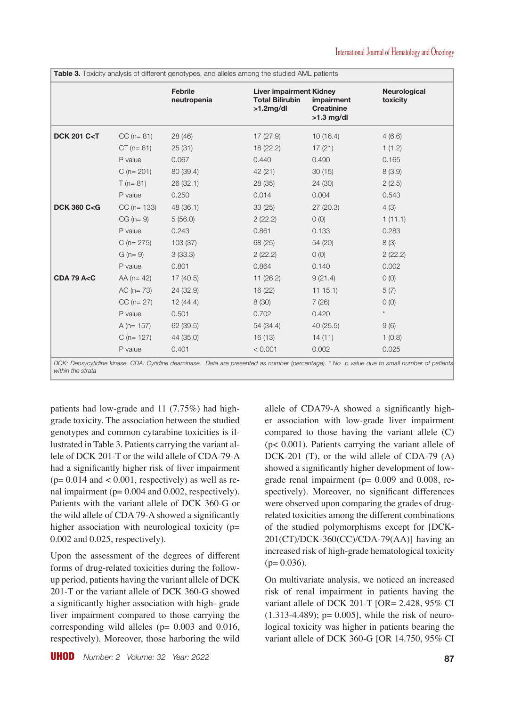|                                |                 | <b>Febrile</b><br>neutropenia | <b>Liver impairment Kidney</b><br><b>Total Bilirubin</b><br>$>1.2$ mg/dl | impairment<br><b>Creatinine</b><br>$>1.3$ mg/dl | <b>Neurological</b><br>toxicity |
|--------------------------------|-----------------|-------------------------------|--------------------------------------------------------------------------|-------------------------------------------------|---------------------------------|
| <b>DCK 201 C<t< b=""></t<></b> | $CC (n = 81)$   | 28(46)                        | 17(27.9)                                                                 | 10(16.4)                                        | 4(6.6)                          |
|                                | $CT (n = 61)$   | 25(31)                        | 18(22.2)                                                                 | 17(21)                                          | 1(1.2)                          |
|                                | P value         | 0.067                         | 0.440                                                                    | 0.490                                           | 0.165                           |
|                                | $C (n = 201)$   | 80 (39.4)                     | 42(21)                                                                   | 30(15)                                          | 8(3.9)                          |
|                                | $T(n=81)$       | 26(32.1)                      | 28(35)                                                                   | 24 (30)                                         | 2(2.5)                          |
|                                | P value         | 0.250                         | 0.014                                                                    | 0.004                                           | 0.543                           |
| <b>DCK 360 C<g< b=""></g<></b> | $CC (n = 133)$  | 48(36.1)                      | 33(25)                                                                   | 27(20.3)                                        | 4(3)                            |
|                                | $CG (n = 9)$    | 5(56.0)                       | 2(22.2)                                                                  | O(0)                                            | 1(11.1)                         |
|                                | P value         | 0.243                         | 0.861                                                                    | 0.133                                           | 0.283                           |
|                                | $C (n = 275)$   | 103(37)                       | 68 (25)                                                                  | 54 (20)                                         | 8(3)                            |
|                                | $G (n = 9)$     | 3(33.3)                       | 2(22.2)                                                                  | O(0)                                            | 2(22.2)                         |
|                                | P value         | 0.801                         | 0.864                                                                    | 0.140                                           | 0.002                           |
| <b>CDA 79 A<c< b=""></c<></b>  | $AA$ (n= 42)    | 17(40.5)                      | 11(26.2)                                                                 | 9(21.4)                                         | O(0)                            |
|                                | $AC (n = 73)$   | 24 (32.9)                     | 16(22)                                                                   | 1115.1                                          | 5(7)                            |
|                                | $CC (n = 27)$   | 12(44.4)                      | 8(30)                                                                    | 7(26)                                           | $O$ (O)                         |
|                                | P value         | 0.501                         | 0.702                                                                    | 0.420                                           | $^\star$                        |
|                                | A ( $n = 157$ ) | 62(39.5)                      | 54 (34.4)                                                                | 40(25.5)                                        | 9(6)                            |
|                                | $C$ (n= 127)    | 44 (35.0)                     | 16(13)                                                                   | 14(11)                                          | 1(0.8)                          |
|                                | P value         | 0.401                         | < 0.001                                                                  | 0.002                                           | 0.025                           |

**Table 3.** Toxicity analysis of different genotypes, and alleles among the studied AML patients

*DCK: Deoxycytidine kinase, CDA: Cytidine deaminase. Data are presented as number (percentage). \* No p value due to small number of patients within the strata*

patients had low-grade and 11 (7.75%) had highgrade toxicity. The association between the studied genotypes and common cytarabine toxicities is illustrated in Table 3. Patients carrying the variant allele of DCK 201-T or the wild allele of CDA-79-A had a significantly higher risk of liver impairment  $(p= 0.014$  and  $< 0.001$ , respectively) as well as renal impairment (p= 0.004 and 0.002, respectively). Patients with the variant allele of DCK 360-G or the wild allele of CDA 79-A showed a significantly higher association with neurological toxicity (p= 0.002 and 0.025, respectively).

Upon the assessment of the degrees of different forms of drug-related toxicities during the followup period, patients having the variant allele of DCK 201-T or the variant allele of DCK 360-G showed a significantly higher association with high- grade liver impairment compared to those carrying the corresponding wild alleles ( $p= 0.003$  and 0.016, respectively). Moreover, those harboring the wild

UHOD *Number: 2 Volume: 32 Year: 2022* **87**

allele of CDA79-A showed a significantly higher association with low-grade liver impairment compared to those having the variant allele (C) (p< 0.001). Patients carrying the variant allele of DCK-201 (T), or the wild allele of CDA-79 (A) showed a significantly higher development of lowgrade renal impairment ( $p= 0.009$  and 0.008, respectively). Moreover, no significant differences were observed upon comparing the grades of drugrelated toxicities among the different combinations of the studied polymorphisms except for [DCK-201(CT)/DCK-360(CC)/CDA-79(AA)] having an increased risk of high-grade hematological toxicity  $(p= 0.036)$ .

On multivariate analysis, we noticed an increased risk of renal impairment in patients having the variant allele of DCK 201-T [OR= 2.428, 95% CI  $(1.313-4.489)$ ; p= 0.005], while the risk of neurological toxicity was higher in patients bearing the variant allele of DCK 360-G [OR 14.750, 95% CI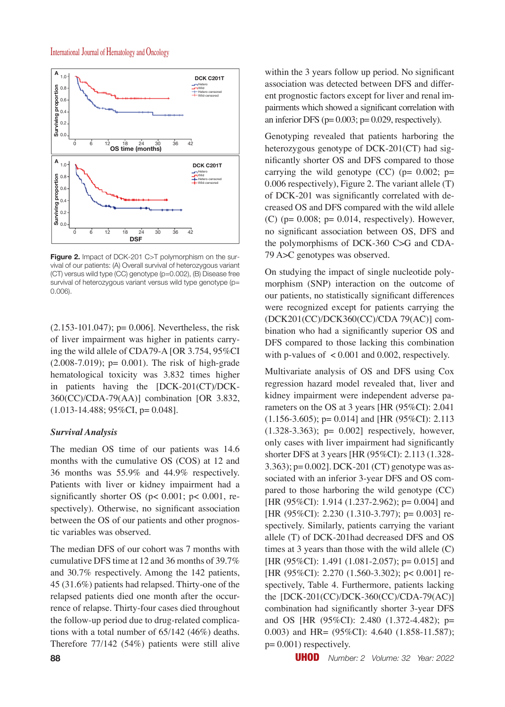

**Figure 2.** Impact of DCK-201 C>T polymorphism on the survival of our patients: (A) Overall survival of heterozygous variant (CT) versus wild type (CC) genotype (p=0.002), (B) Disease free survival of heterozygous variant versus wild type genotype (p= 0.006).

 $(2.153-101.047)$ ; p= 0.006]. Nevertheless, the risk of liver impairment was higher in patients carrying the wild allele of CDA79-A [OR 3.754, 95%CI  $(2.008-7.019)$ ; p= 0.001). The risk of high-grade hematological toxicity was 3.832 times higher in patients having the [DCK-201(CT)/DCK-360(CC)/CDA-79(AA)] combination [OR 3.832,  $(1.013-14.488; 95\%CI, p= 0.048].$ 

#### *Survival Analysis*

The median OS time of our patients was 14.6 months with the cumulative OS (COS) at 12 and 36 months was 55.9% and 44.9% respectively. Patients with liver or kidney impairment had a significantly shorter OS ( $p$ < 0.001;  $p$ < 0.001, respectively). Otherwise, no significant association between the OS of our patients and other prognostic variables was observed.

The median DFS of our cohort was 7 months with cumulative DFS time at 12 and 36 months of 39.7% and 30.7% respectively. Among the 142 patients, 45 (31.6%) patients had relapsed. Thirty-one of the relapsed patients died one month after the occurrence of relapse. Thirty-four cases died throughout the follow-up period due to drug-related complications with a total number of 65/142 (46%) deaths. Therefore 77/142 (54%) patients were still alive within the 3 years follow up period. No significant association was detected between DFS and different prognostic factors except for liver and renal impairments which showed a significant correlation with an inferior DFS ( $p= 0.003$ ;  $p= 0.029$ , respectively).

Genotyping revealed that patients harboring the heterozygous genotype of DCK-201(CT) had significantly shorter OS and DFS compared to those carrying the wild genotype  $(CC)$  (p= 0.002; p= 0.006 respectively), Figure 2. The variant allele (T) of DCK-201 was significantly correlated with decreased OS and DFS compared with the wild allele (C) ( $p= 0.008$ ;  $p= 0.014$ , respectively). However, no significant association between OS, DFS and the polymorphisms of DCK-360 C>G and CDA-79 A>C genotypes was observed.

On studying the impact of single nucleotide polymorphism (SNP) interaction on the outcome of our patients, no statistically significant differences were recognized except for patients carrying the (DCK201(CC)/DCK360(CC)/CDA 79(AC)] combination who had a significantly superior OS and DFS compared to those lacking this combination with p-values of < 0.001 and 0.002, respectively.

Multivariate analysis of OS and DFS using Cox regression hazard model revealed that, liver and kidney impairment were independent adverse parameters on the OS at 3 years [HR (95%CI): 2.041 (1.156-3.605); p= 0.014] and [HR (95%CI): 2.113 (1.328-3.363); p= 0.002] respectively, however, only cases with liver impairment had significantly shorter DFS at 3 years [HR (95%CI): 2.113 (1.328- 3.363); p= 0.002]. DCK-201 (CT) genotype was associated with an inferior 3-year DFS and OS compared to those harboring the wild genotype (CC) [HR (95%CI): 1.914 (1.237-2.962); p= 0.004] and [HR (95%CI): 2.230 (1.310-3.797); p= 0.003] respectively. Similarly, patients carrying the variant allele (T) of DCK-201had decreased DFS and OS times at 3 years than those with the wild allele (C) [HR (95%CI): 1.491 (1.081-2.057); p= 0.015] and [HR (95%CI): 2.270 (1.560-3.302); p< 0.001] respectively, Table 4. Furthermore, patients lacking the [DCK-201(CC)/DCK-360(CC)/CDA-79(AC)] combination had significantly shorter 3-year DFS and OS [HR (95%CI): 2.480 (1.372-4.482); p= 0.003) and HR= (95%CI): 4.640 (1.858-11.587);  $p= 0.001$ ) respectively.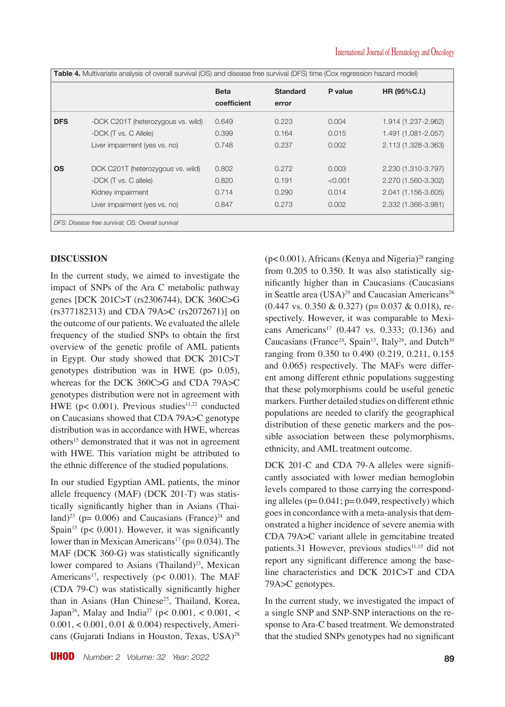|            |                                                  | <b>Beta</b><br>coefficient | <b>Standard</b><br>error | P value | HR (95%C.I.)        |
|------------|--------------------------------------------------|----------------------------|--------------------------|---------|---------------------|
| <b>DFS</b> | -DCK C201T (heterozygous vs. wild)               | 0.649                      | 0.223                    | 0.004   | 1.914 (1.237-2.962) |
|            | -DCK (T vs. C Allele)                            | 0.399                      | 0.164                    | 0.015   | 1.491 (1.081-2.057) |
|            | Liver impairment (yes vs. no)                    | 0.748                      | 0.237                    | 0.002   | 2.113 (1.328-3.363) |
| <b>OS</b>  | DCK C201T (heterozygous vs. wild)                | 0.802                      | 0.272                    | 0.003   | 2.230 (1.310-3.797) |
|            | -DCK (T vs. C allele)                            | 0.820                      | 0.191                    | < 0.001 | 2.270 (1.560-3.302) |
|            | Kidney impairment                                | 0.714                      | 0.290                    | 0.014   | 2.041 (1.156-3.605) |
|            | Liver impairment (yes vs. no)                    | 0.847                      | 0.273                    | 0.002   | 2.332 (1.366-3.981) |
|            | DFS: Disease free survival; OS: Overall survival |                            |                          |         |                     |

## **DISCUSSION**

In the current study, we aimed to investigate the impact of SNPs of the Ara C metabolic pathway genes [DCK 201C>T (rs2306744), DCK 360C>G (rs377182313) and CDA 79A>C (rs2072671)] on the outcome of our patients. We evaluated the allele frequency of the studied SNPs to obtain the first overview of the genetic profile of AML patients in Egypt. Our study showed that DCK 201C>T genotypes distribution was in HWE (p> 0.05), whereas for the DCK 360C>G and CDA 79A>C genotypes distribution were not in agreement with HWE ( $p$ < 0.001). Previous studies<sup>11,22</sup> conducted on Caucasians showed that CDA 79A>C genotype distribution was in accordance with HWE, whereas others<sup>15</sup> demonstrated that it was not in agreement with HWE. This variation might be attributed to the ethnic difference of the studied populations.

In our studied Egyptian AML patients, the minor allele frequency (MAF) (DCK 201-T) was statistically significantly higher than in Asians (Thailand)<sup>23</sup> ( $p= 0.006$ ) and Caucasians (France)<sup>24</sup> and Spain<sup>15</sup> ( $p$ < 0.001). However, it was significantly lower than in Mexican Americans<sup>17</sup> ( $p= 0.034$ ). The MAF (DCK 360-G) was statistically significantly lower compared to Asians (Thailand)<sup>23</sup>, Mexican Americans<sup>17</sup>, respectively ( $p$ < 0.001). The MAF (CDA 79-C) was statistically significantly higher than in Asians (Han Chinese<sup>25</sup>, Thailand, Korea, Japan<sup>26</sup>, Malay and India<sup>27</sup> (p< 0.001, < 0.001, < 0.001, < 0.001, 0.01 & 0.004) respectively, Americans (Gujarati Indians in Houston, Texas, USA)<sup>28</sup>  $(p< 0.001)$ , Africans (Kenya and Nigeria)<sup>28</sup> ranging from 0.205 to 0.350. It was also statistically significantly higher than in Caucasians (Caucasians in Seattle area (USA)<sup>29</sup> and Caucasian Americans<sup>26</sup>  $(0.447 \text{ vs. } 0.350 \& 0.327)$  (p= 0.037 & 0.018), respectively. However, it was comparable to Mexicans Americans<sup>17</sup> (0.447 vs. 0.333; (0.136) and Caucasians (France<sup>24</sup>, Spain<sup>15</sup>, Italy<sup>26</sup>, and Dutch<sup>30</sup> ranging from 0.350 to 0.490 (0.219, 0.211, 0.155 and 0.065) respectively. The MAFs were different among different ethnic populations suggesting that these polymorphisms could be useful genetic markers. Further detailed studies on different ethnic populations are needed to clarify the geographical distribution of these genetic markers and the possible association between these polymorphisms, ethnicity, and AML treatment outcome.

DCK 201-C and CDA 79-A alleles were significantly associated with lower median hemoglobin levels compared to those carrying the corresponding alleles  $(p= 0.041; p= 0.049,$  respectively) which goes in concordance with a meta-analysis that demonstrated a higher incidence of severe anemia with CDA 79A>C variant allele in gemcitabine treated patients.31 However, previous studies<sup>11,15</sup> did not report any significant difference among the baseline characteristics and DCK 201C>T and CDA 79A>C genotypes.

In the current study, we investigated the impact of a single SNP and SNP-SNP interactions on the response to Ara-C based treatment. We demonstrated that the studied SNPs genotypes had no significant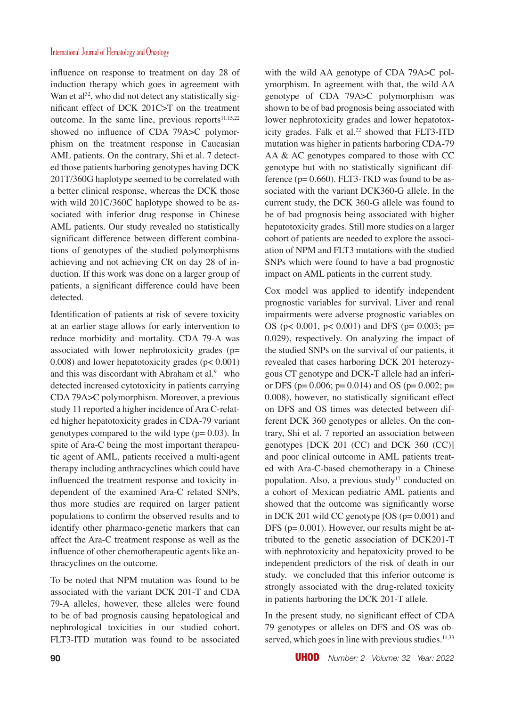influence on response to treatment on day 28 of induction therapy which goes in agreement with Wan et al<sup>32</sup>, who did not detect any statistically significant effect of DCK 201C>T on the treatment outcome. In the same line, previous reports $11,15,22$ showed no influence of CDA 79A>C polymorphism on the treatment response in Caucasian AML patients. On the contrary, Shi et al. 7 detected those patients harboring genotypes having DCK 201T/360G haplotype seemed to be correlated with a better clinical response, whereas the DCK those with wild 201C/360C haplotype showed to be associated with inferior drug response in Chinese AML patients. Our study revealed no statistically significant difference between different combinations of genotypes of the studied polymorphisms achieving and not achieving CR on day 28 of induction. If this work was done on a larger group of patients, a significant difference could have been detected.

Identification of patients at risk of severe toxicity at an earlier stage allows for early intervention to reduce morbidity and mortality. CDA 79-A was associated with lower nephrotoxicity grades (p= 0.008) and lower hepatotoxicity grades  $(p< 0.001)$ and this was discordant with Abraham et al. $9$  who detected increased cytotoxicity in patients carrying CDA 79A>C polymorphism. Moreover, a previous study 11 reported a higher incidence of Ara C-related higher hepatotoxicity grades in CDA-79 variant genotypes compared to the wild type  $(p= 0.03)$ . In spite of Ara-C being the most important therapeutic agent of AML, patients received a multi-agent therapy including anthracyclines which could have influenced the treatment response and toxicity independent of the examined Ara-C related SNPs, thus more studies are required on larger patient populations to confirm the observed results and to identify other pharmaco-genetic markers that can affect the Ara-C treatment response as well as the influence of other chemotherapeutic agents like anthracyclines on the outcome.

To be noted that NPM mutation was found to be associated with the variant DCK 201-T and CDA 79-A alleles, however, these alleles were found to be of bad prognosis causing hepatological and nephrological toxicities in our studied cohort. FLT3-ITD mutation was found to be associated with the wild AA genotype of CDA 79A $>$ C polymorphism. In agreement with that, the wild AA genotype of CDA 79A>C polymorphism was shown to be of bad prognosis being associated with lower nephrotoxicity grades and lower hepatotoxicity grades. Falk et al. $22$  showed that FLT3-ITD mutation was higher in patients harboring CDA-79 AA & AC genotypes compared to those with CC genotype but with no statistically significant difference ( $p= 0.660$ ). FLT3-TKD was found to be associated with the variant DCK360-G allele. In the current study, the DCK 360-G allele was found to be of bad prognosis being associated with higher hepatotoxicity grades. Still more studies on a larger cohort of patients are needed to explore the association of NPM and FLT3 mutations with the studied SNPs which were found to have a bad prognostic impact on AML patients in the current study.

Cox model was applied to identify independent prognostic variables for survival. Liver and renal impairments were adverse prognostic variables on OS (p< 0.001, p< 0.001) and DFS (p= 0.003; p= 0.029), respectively. On analyzing the impact of the studied SNPs on the survival of our patients, it revealed that cases harboring DCK 201 heterozygous CT genotype and DCK-T allele had an inferior DFS ( $p= 0.006$ ;  $p= 0.014$ ) and OS ( $p= 0.002$ ;  $p=$ 0.008), however, no statistically significant effect on DFS and OS times was detected between different DCK 360 genotypes or alleles. On the contrary, Shi et al. 7 reported an association between genotypes [DCK 201 (CC) and DCK 360 (CC)] and poor clinical outcome in AML patients treated with Ara-C-based chemotherapy in a Chinese population. Also, a previous study<sup>17</sup> conducted on a cohort of Mexican pediatric AML patients and showed that the outcome was significantly worse in DCK 201 wild CC genotype [OS (p= 0.001) and DFS (p= 0.001). However, our results might be attributed to the genetic association of DCK201-T with nephrotoxicity and hepatoxicity proved to be independent predictors of the risk of death in our study. we concluded that this inferior outcome is strongly associated with the drug-related toxicity in patients harboring the DCK 201-T allele.

In the present study, no significant effect of CDA 79 genotypes or alleles on DFS and OS was observed, which goes in line with previous studies. $11,33$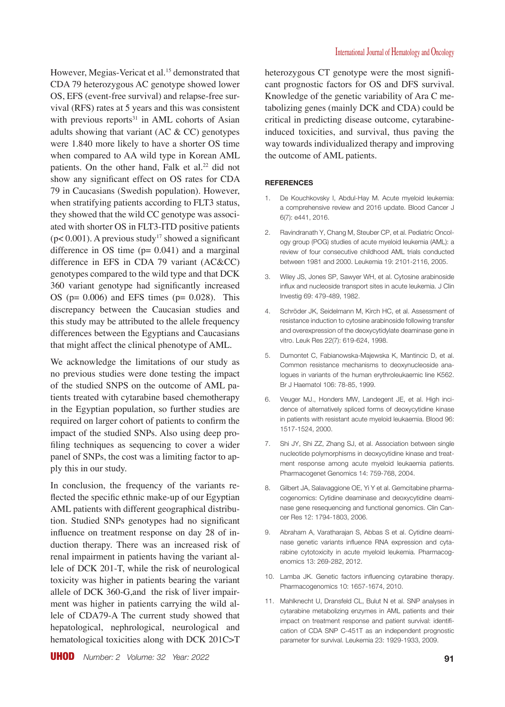However, Megias-Vericat et al.<sup>15</sup> demonstrated that CDA 79 heterozygous AC genotype showed lower OS, EFS (event-free survival) and relapse-free survival (RFS) rates at 5 years and this was consistent with previous reports $31$  in AML cohorts of Asian adults showing that variant (AC & CC) genotypes were 1.840 more likely to have a shorter OS time when compared to AA wild type in Korean AML patients. On the other hand, Falk et al.<sup>22</sup> did not show any significant effect on OS rates for CDA 79 in Caucasians (Swedish population). However, when stratifying patients according to FLT3 status, they showed that the wild CC genotype was associated with shorter OS in FLT3-ITD positive patients ( $p$ < 0.001). A previous study<sup>17</sup> showed a significant difference in OS time  $(p= 0.041)$  and a marginal difference in EFS in CDA 79 variant (AC&CC) genotypes compared to the wild type and that DCK 360 variant genotype had significantly increased OS ( $p= 0.006$ ) and EFS times ( $p= 0.028$ ). This discrepancy between the Caucasian studies and this study may be attributed to the allele frequency differences between the Egyptians and Caucasians that might affect the clinical phenotype of AML.

We acknowledge the limitations of our study as no previous studies were done testing the impact of the studied SNPS on the outcome of AML patients treated with cytarabine based chemotherapy in the Egyptian population, so further studies are required on larger cohort of patients to confirm the impact of the studied SNPs. Also using deep profiling techniques as sequencing to cover a wider panel of SNPs, the cost was a limiting factor to apply this in our study.

In conclusion, the frequency of the variants reflected the specific ethnic make-up of our Egyptian AML patients with different geographical distribution. Studied SNPs genotypes had no significant influence on treatment response on day 28 of induction therapy. There was an increased risk of renal impairment in patients having the variant allele of DCK 201-T, while the risk of neurological toxicity was higher in patients bearing the variant allele of DCK 360-G,and the risk of liver impairment was higher in patients carrying the wild allele of CDA79-A The current study showed that hepatological, nephrological, neurological and hematological toxicities along with DCK 201C>T

heterozygous CT genotype were the most significant prognostic factors for OS and DFS survival. Knowledge of the genetic variability of Ara C metabolizing genes (mainly DCK and CDA) could be critical in predicting disease outcome, cytarabineinduced toxicities, and survival, thus paving the way towards individualized therapy and improving the outcome of AML patients.

#### **REFERENCES**

- De Kouchkovsky I, Abdul-Hay M. Acute myeloid leukemia: a comprehensive review and 2016 update. Blood Cancer J 6(7): e441, 2016.
- 2. Ravindranath Y, Chang M, Steuber CP, et al. Pediatric Oncology group (POG) studies of acute myeloid leukemia (AML): a review of four consecutive childhood AML trials conducted between 1981 and 2000. Leukemia 19: 2101-2116, 2005.
- 3. Wiley JS, Jones SP, Sawyer WH, et al. Cytosine arabinoside influx and nucleoside transport sites in acute leukemia. J Clin Investig 69: 479-489, 1982.
- 4. Schröder JK, Seidelmann M, Kirch HC, et al. Assessment of resistance induction to cytosine arabinoside following transfer and overexpression of the deoxycytidylate deaminase gene in vitro. Leuk Res 22(7): 619-624, 1998.
- 5. Dumontet C, Fabianowska-Majewska K, Mantincic D, et al. Common resistance mechanisms to deoxynucleoside analogues in variants of the human erythroleukaemic line K562. Br J Haematol 106: 78-85, 1999.
- 6. Veuger MJ., Honders MW, Landegent JE, et al. High incidence of alternatively spliced forms of deoxycytidine kinase in patients with resistant acute myeloid leukaemia. Blood 96: 1517-1524, 2000.
- 7. Shi JY, Shi ZZ, Zhang SJ, et al. Association between single nucleotide polymorphisms in deoxycytidine kinase and treatment response among acute myeloid leukaemia patients. Pharmacogenet Genomics 14: 759-768, 2004.
- 8. Gilbert JA, Salavaggione OE, Yi Y et al. Gemcitabine pharmacogenomics: Cytidine deaminase and deoxycytidine deaminase gene resequencing and functional genomics. Clin Cancer Res 12: 1794-1803, 2006.
- 9. Abraham A, Varatharajan S, Abbas S et al. Cytidine deaminase genetic variants influence RNA expression and cytarabine cytotoxicity in acute myeloid leukemia. Pharmacogenomics 13: 269-282, 2012.
- 10. Lamba JK. Genetic factors influencing cytarabine therapy. Pharmacogenomics 10: 1657-1674, 2010.
- 11. Mahlknecht U, Dransfeld CL, Bulut N et al. SNP analyses in cytarabine metabolizing enzymes in AML patients and their impact on treatment response and patient survival: identification of CDA SNP C-451T as an independent prognostic parameter for survival. Leukemia 23: 1929-1933, 2009.